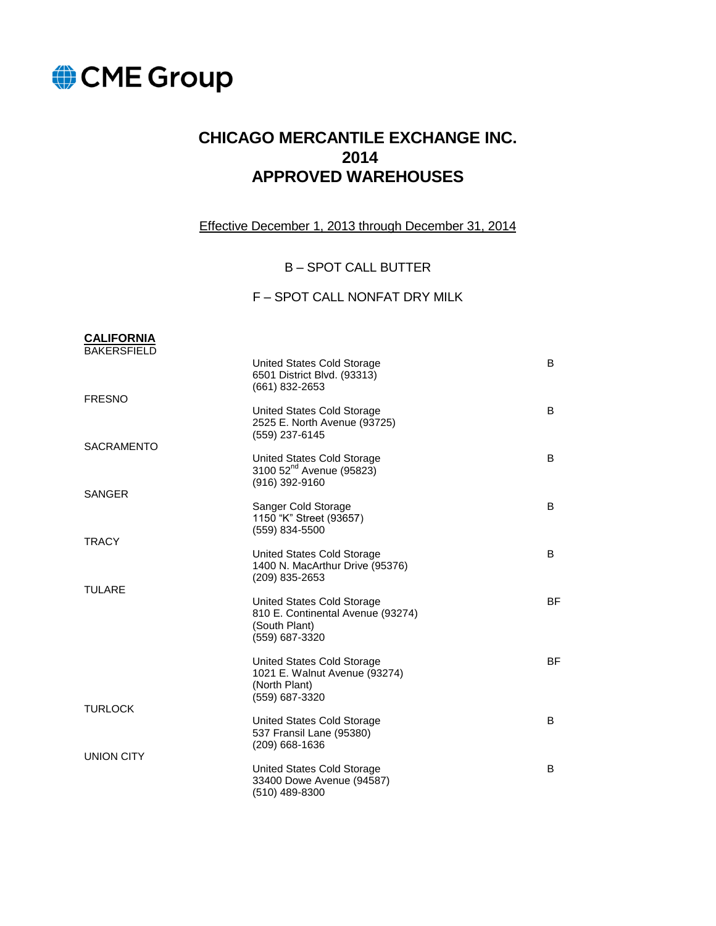

**CALIFORNIA** 

# **CHICAGO MERCANTILE EXCHANGE INC. 2014 APPROVED WAREHOUSES**

Effective December 1, 2013 through December 31, 2014

#### B – SPOT CALL BUTTER

#### F – SPOT CALL NONFAT DRY MILK

| <b>BAKERSFIELD</b> |                                                                                                    |           |
|--------------------|----------------------------------------------------------------------------------------------------|-----------|
| <b>FRESNO</b>      | United States Cold Storage<br>6501 District Blvd. (93313)<br>(661) 832-2653                        | B         |
|                    | United States Cold Storage<br>2525 E. North Avenue (93725)<br>(559) 237-6145                       | B         |
| <b>SACRAMENTO</b>  | United States Cold Storage<br>3100 52 <sup>nd</sup> Avenue (95823)<br>(916) 392-9160               | B         |
| <b>SANGER</b>      | Sanger Cold Storage<br>1150 "K" Street (93657)<br>(559) 834-5500                                   | B         |
| <b>TRACY</b>       | United States Cold Storage<br>1400 N. MacArthur Drive (95376)<br>(209) 835-2653                    | B         |
| <b>TULARE</b>      | United States Cold Storage<br>810 E. Continental Avenue (93274)<br>(South Plant)<br>(559) 687-3320 | <b>BF</b> |
|                    | United States Cold Storage<br>1021 E. Walnut Avenue (93274)<br>(North Plant)<br>(559) 687-3320     | <b>BF</b> |
| <b>TURLOCK</b>     | United States Cold Storage<br>537 Fransil Lane (95380)<br>$(209)$ 668-1636                         | B         |
| <b>UNION CITY</b>  | United States Cold Storage<br>33400 Dowe Avenue (94587)<br>$(510)$ 489-8300                        | B         |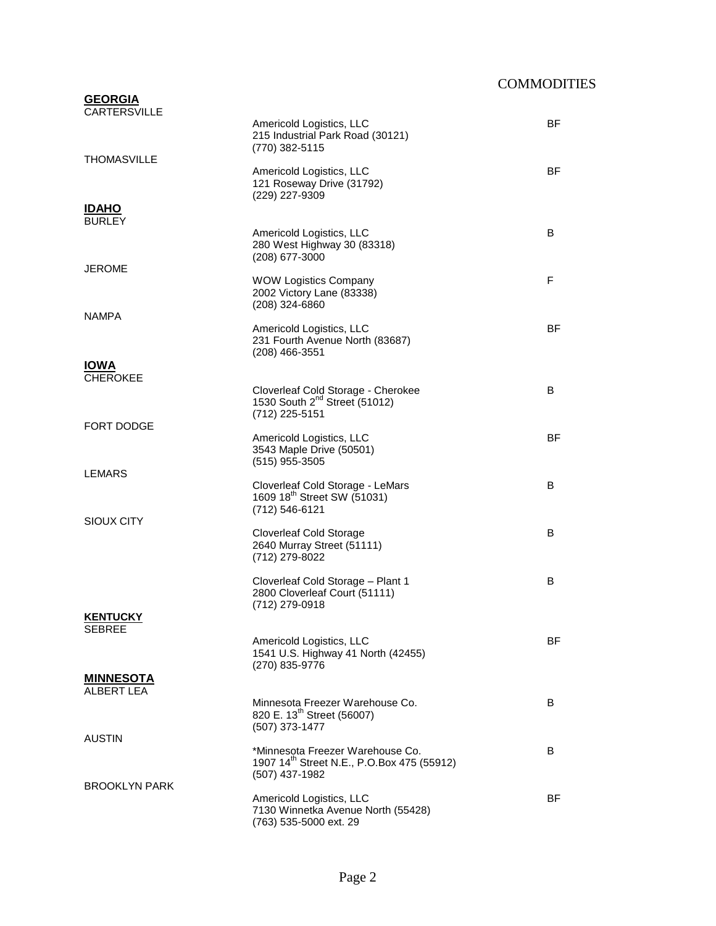## **COMMODITIES**

| <b>GEORGIA</b><br><b>CARTERSVILLE</b> |                                                                                                              |           |
|---------------------------------------|--------------------------------------------------------------------------------------------------------------|-----------|
|                                       | Americold Logistics, LLC<br>215 Industrial Park Road (30121)<br>(770) 382-5115                               | BF        |
| <b>THOMASVILLE</b>                    | Americold Logistics, LLC<br>121 Roseway Drive (31792)<br>(229) 227-9309                                      | <b>BF</b> |
| <b>IDAHO</b><br><b>BURLEY</b>         |                                                                                                              |           |
|                                       | Americold Logistics, LLC<br>280 West Highway 30 (83318)<br>(208) 677-3000                                    | B         |
| <b>JEROME</b>                         | <b>WOW Logistics Company</b><br>2002 Victory Lane (83338)<br>(208) 324-6860                                  | F         |
| <b>NAMPA</b>                          |                                                                                                              |           |
|                                       | Americold Logistics, LLC<br>231 Fourth Avenue North (83687)<br>$(208)$ 466-3551                              | ΒF        |
| <b>IOWA</b><br><b>CHEROKEE</b>        |                                                                                                              |           |
|                                       | Cloverleaf Cold Storage - Cherokee<br>1530 South 2 <sup>nd</sup> Street (51012)<br>(712) 225-5151            | B         |
| FORT DODGE                            | Americold Logistics, LLC                                                                                     | BF        |
|                                       | 3543 Maple Drive (50501)<br>(515) 955-3505                                                                   |           |
| LEMARS                                | Cloverleaf Cold Storage - LeMars<br>1609 18 <sup>th</sup> Street SW (51031)<br>(712) 546-6121                | B         |
| SIOUX CITY                            | <b>Cloverleaf Cold Storage</b><br>2640 Murray Street (51111)<br>(712) 279-8022                               | B         |
|                                       | Cloverleaf Cold Storage - Plant 1<br>2800 Cloverleaf Court (51111)<br>(712) 279-0918                         | B         |
| <b>KENTUCKY</b><br><b>SEBREE</b>      |                                                                                                              |           |
|                                       | Americold Logistics, LLC<br>1541 U.S. Highway 41 North (42455)<br>(270) 835-9776                             | BF        |
| <b>MINNESOTA</b><br>ALBERT LEA        |                                                                                                              |           |
|                                       | Minnesota Freezer Warehouse Co.<br>820 E. 13 <sup>th</sup> Street (56007)<br>(507) 373-1477                  | B         |
| <b>AUSTIN</b>                         | *Minnesota Freezer Warehouse Co.<br>1907 14 <sup>th</sup> Street N.E., P.O.Box 475 (55912)<br>(507) 437-1982 | B         |
| <b>BROOKLYN PARK</b>                  | Americold Logistics, LLC<br>7130 Winnetka Avenue North (55428)<br>(763) 535-5000 ext. 29                     | BF        |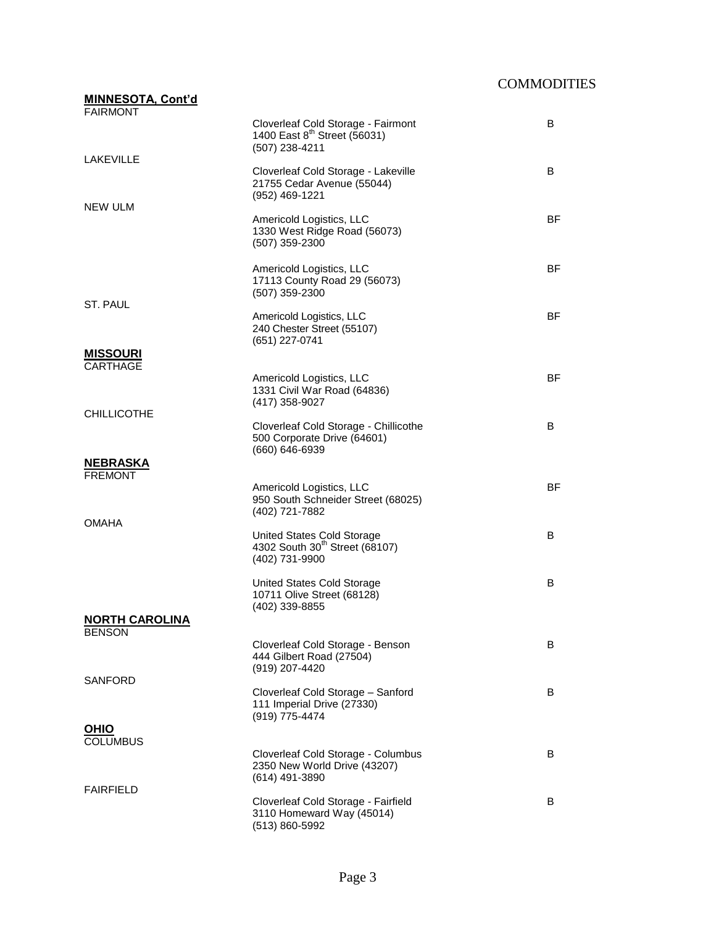| <b>MINNESOTA, Cont'd</b>            |                                                                                                  |           |
|-------------------------------------|--------------------------------------------------------------------------------------------------|-----------|
| <b>FAIRMONT</b>                     |                                                                                                  |           |
| LAKEVILLE                           | Cloverleaf Cold Storage - Fairmont<br>1400 East 8 <sup>th</sup> Street (56031)<br>(507) 238-4211 | B         |
|                                     | Cloverleaf Cold Storage - Lakeville<br>21755 Cedar Avenue (55044)<br>(952) 469-1221              | B         |
| NEW ULM                             | Americold Logistics, LLC<br>1330 West Ridge Road (56073)<br>(507) 359-2300                       | BF        |
|                                     | Americold Logistics, LLC<br>17113 County Road 29 (56073)<br>(507) 359-2300                       | <b>BF</b> |
| ST. PAUL                            | Americold Logistics, LLC<br>240 Chester Street (55107)<br>(651) 227-0741                         | <b>BF</b> |
| <b>MISSOURI</b>                     |                                                                                                  |           |
| CARTHAGE                            | Americold Logistics, LLC<br>1331 Civil War Road (64836)<br>(417) 358-9027                        | <b>BF</b> |
| <b>CHILLICOTHE</b>                  | Cloverleaf Cold Storage - Chillicothe<br>500 Corporate Drive (64601)<br>(660) 646-6939           | B         |
|                                     |                                                                                                  |           |
| <b>NEBRASKA</b>                     |                                                                                                  |           |
| <b>FREMONT</b>                      | Americold Logistics, LLC<br>950 South Schneider Street (68025)<br>(402) 721-7882                 | <b>BF</b> |
| OMAHA                               | United States Cold Storage<br>4302 South 30 <sup>th</sup> Street (68107)<br>(402) 731-9900       | B         |
|                                     | United States Cold Storage<br>10711 Olive Street (68128)<br>(402) 339-8855                       | B         |
| <u>NORTH CAROLINA</u>               |                                                                                                  |           |
| <b>BENSON</b>                       | Cloverleaf Cold Storage - Benson<br>444 Gilbert Road (27504)<br>(919) 207-4420                   | B         |
| SANFORD                             | Cloverleaf Cold Storage - Sanford<br>111 Imperial Drive (27330)<br>(919) 775-4474                | B         |
| <u>OHIO</u>                         |                                                                                                  |           |
| <b>COLUMBUS</b><br><b>FAIRFIELD</b> | Cloverleaf Cold Storage - Columbus<br>2350 New World Drive (43207)<br>(614) 491-3890             | B         |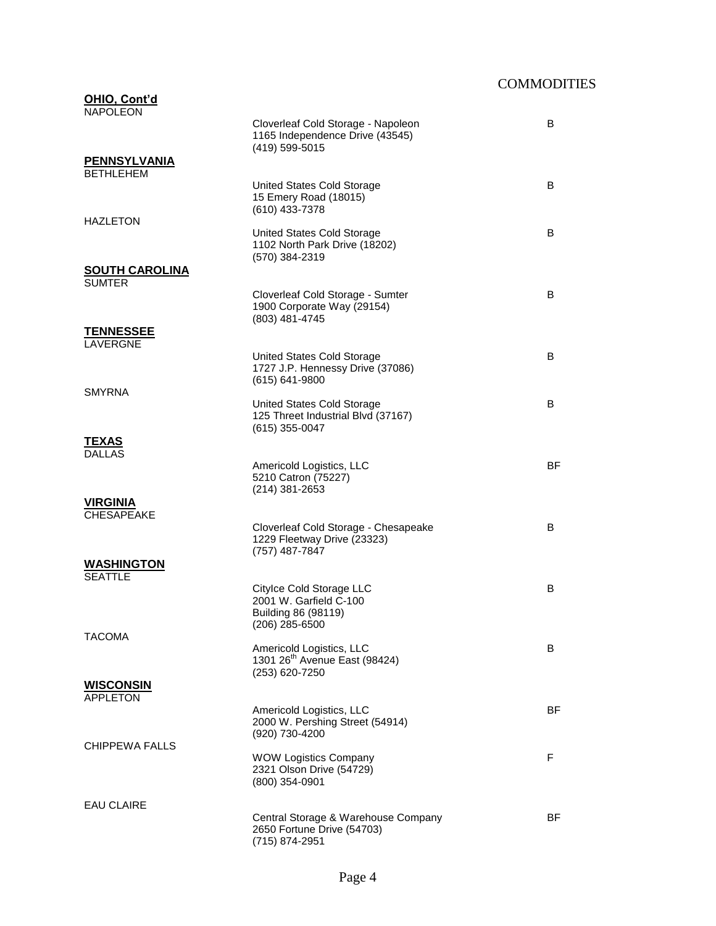## **COMMODITIES**

| OHIO, Cont'd<br><b>NAPOLEON</b>         |                                                                                             |           |
|-----------------------------------------|---------------------------------------------------------------------------------------------|-----------|
|                                         | Cloverleaf Cold Storage - Napoleon<br>1165 Independence Drive (43545)<br>(419) 599-5015     | B         |
| <b>PENNSYLVANIA</b><br><b>BETHLEHEM</b> |                                                                                             |           |
| <b>HAZLETON</b>                         | United States Cold Storage<br>15 Emery Road (18015)<br>(610) 433-7378                       | B         |
|                                         | United States Cold Storage<br>1102 North Park Drive (18202)<br>(570) 384-2319               | B         |
| <b>SOUTH CAROLINA</b><br><b>SUMTER</b>  |                                                                                             |           |
|                                         | Cloverleaf Cold Storage - Sumter<br>1900 Corporate Way (29154)<br>(803) 481-4745            | B         |
| <b>TENNESSEE</b><br>LAVERGNE            |                                                                                             |           |
| <b>SMYRNA</b>                           | United States Cold Storage<br>1727 J.P. Hennessy Drive (37086)<br>(615) 641-9800            | B         |
|                                         | United States Cold Storage<br>125 Threet Industrial Blvd (37167)<br>(615) 355-0047          | B         |
| <u>TEXAS</u><br><b>DALLAS</b>           |                                                                                             |           |
|                                         | Americold Logistics, LLC<br>5210 Catron (75227)<br>$(214)$ 381-2653                         | BF        |
| <b>VIRGINIA</b><br><b>CHESAPEAKE</b>    |                                                                                             |           |
|                                         | Cloverleaf Cold Storage - Chesapeake<br>1229 Fleetway Drive (23323)<br>(757) 487-7847       | B         |
| <b>WASHINGTON</b><br><b>SEATTLE</b>     |                                                                                             |           |
|                                         | Citylce Cold Storage LLC<br>2001 W. Garfield C-100<br>Building 86 (98119)<br>(206) 285-6500 | B         |
| <b>TACOMA</b>                           | Americold Logistics, LLC<br>1301 26 <sup>th</sup> Avenue East (98424)<br>(253) 620-7250     | B         |
| <b>WISCONSIN</b><br><b>APPLETON</b>     |                                                                                             |           |
| CHIPPEWA FALLS                          | Americold Logistics, LLC<br>2000 W. Pershing Street (54914)<br>(920) 730-4200               | BF        |
|                                         | <b>WOW Logistics Company</b><br>2321 Olson Drive (54729)<br>$(800)$ 354-0901                | F         |
| <b>EAU CLAIRE</b>                       | Central Storage & Warehouse Company                                                         | <b>BF</b> |
|                                         | 2650 Fortune Drive (54703)<br>(715) 874-2951                                                |           |